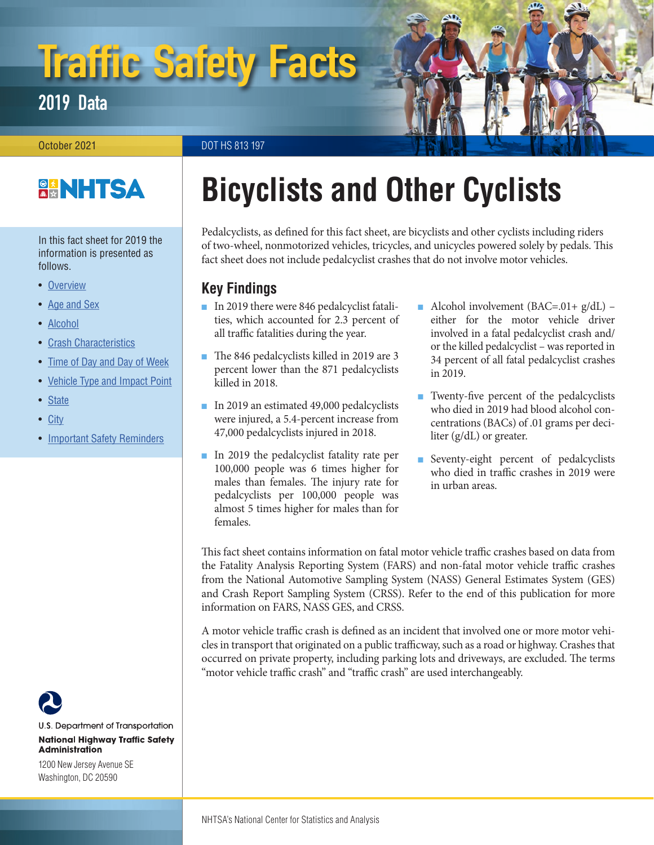# Traffic Safety Facts

2019 Data

October 2021 **DOT HS 813 197** 

### **BANHTSA**

In this fact sheet for 2019 the information is presented as follows.

- Overview
- Age and Sex
- Alcohol
- Crash Characteristics
- Time of Day and Day of Week
- Vehicle Type and Impact Point
- State
- City
- Important Safety Reminders

## **Bicyclists and Other Cyclists**

Pedalcyclists, as defined for this fact sheet, are bicyclists and other cyclists including riders of two-wheel, nonmotorized vehicles, tricycles, and unicycles powered solely by pedals. This fact sheet does not include pedalcyclist crashes that do not involve motor vehicles.

#### **Key Findings**

- In 2019 there were 846 pedalcyclist fatalities, which accounted for 2.3 percent of all traffic fatalities during the year.
- The 846 pedalcyclists killed in 2019 are 3 percent lower than the 871 pedalcyclists killed in 2018.
- In 2019 an estimated 49,000 pedalcyclists were injured, a 5.4-percent increase from 47,000 pedalcyclists injured in 2018.
- In 2019 the pedalcyclist fatality rate per 100,000 people was 6 times higher for males than females. The injury rate for pedalcyclists per 100,000 people was almost 5 times higher for males than for females.
- Alcohol involvement  $(BAC=01+ g/dL)$  either for the motor vehicle driver involved in a fatal pedalcyclist crash and/ or the killed pedalcyclist – was reported in 34 percent of all fatal pedalcyclist crashes in 2019.
- Twenty-five percent of the pedalcyclists who died in 2019 had blood alcohol concentrations (BACs) of .01 grams per deciliter (g/dL) or greater.
- Seventy-eight percent of pedalcyclists who died in traffic crashes in 2019 were in urban areas.

This fact sheet contains information on fatal motor vehicle traffic crashes based on data from the Fatality Analysis Reporting System (FARS) and non-fatal motor vehicle traffic crashes from the National Automotive Sampling System (NASS) General Estimates System (GES) and Crash Report Sampling System (CRSS). Refer to the end of this publication for more information on FARS, NASS GES, and CRSS.

A motor vehicle traffic crash is defined as an incident that involved one or more motor vehicles in transport that originated on a public trafficway, such as a road or highway. Crashes that occurred on private property, including parking lots and driveways, are excluded. The terms "motor vehicle traffic crash" and "traffic crash" are used interchangeably.



U.S. Department of Transportation **National Highway Traffic Safety Administration** 

1200 New Jersey Avenue SE Washington, DC 20590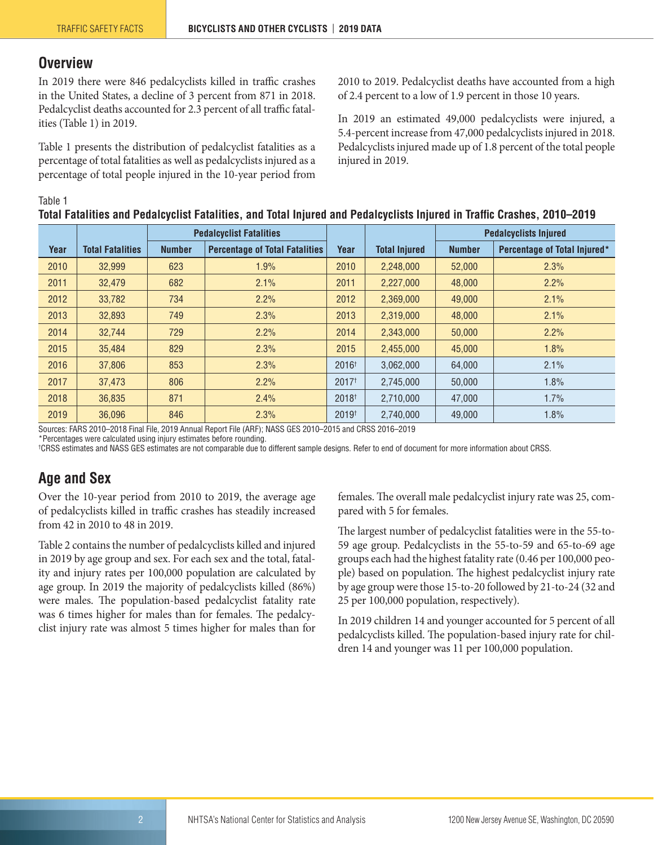#### **Overview**

In 2019 there were 846 pedalcyclists killed in traffic crashes in the United States, a decline of 3 percent from 871 in 2018. Pedalcyclist deaths accounted for 2.3 percent of all traffic fatalities (Table 1) in 2019.

Table 1 presents the distribution of pedalcyclist fatalities as a percentage of total fatalities as well as pedalcyclists injured as a percentage of total people injured in the 10-year period from

2010 to 2019. Pedalcyclist deaths have accounted from a high of 2.4 percent to a low of 1.9 percent in those 10 years.

In 2019 an estimated 49,000 pedalcyclists were injured, a 5.4-percent increase from 47,000 pedalcyclists injured in 2018. Pedalcyclists injured made up of 1.8 percent of the total people injured in 2019.

#### Table 1

| Total Fatalities and Pedalcyclist Fatalities, and Total Injured and Pedalcyclists Injured in Traffic Crashes, 2010–2019 |               |                                       |                                |                      |                              |                              |  |  |  |  |  |
|-------------------------------------------------------------------------------------------------------------------------|---------------|---------------------------------------|--------------------------------|----------------------|------------------------------|------------------------------|--|--|--|--|--|
|                                                                                                                         |               |                                       |                                |                      | <b>Pedalcyclists Injured</b> |                              |  |  |  |  |  |
| <b>Total Fatalities</b>                                                                                                 | <b>Number</b> | <b>Percentage of Total Fatalities</b> | Year                           | <b>Total Injured</b> | <b>Number</b>                | Percentage of Total Injured* |  |  |  |  |  |
| 32,999                                                                                                                  | 623           | 1.9%                                  | 2010                           | 2,248,000            | 52,000                       | 2.3%                         |  |  |  |  |  |
| 32,479                                                                                                                  | 682           | 2.1%                                  | 2011                           | 2,227,000            | 48,000                       | 2.2%                         |  |  |  |  |  |
| 33,782                                                                                                                  | 734           | 2.2%                                  | 2012                           | 2,369,000            | 49,000                       | 2.1%                         |  |  |  |  |  |
| 32,893                                                                                                                  | 749           | 2.3%                                  | 2013                           | 2,319,000            | 48,000                       | 2.1%                         |  |  |  |  |  |
| 32,744                                                                                                                  | 729           | 2.2%                                  | 2014                           | 2,343,000            | 50,000                       | 2.2%                         |  |  |  |  |  |
| 35.484                                                                                                                  | 829           | 2.3%                                  | 2015                           | 2,455,000            | 45,000                       | 1.8%                         |  |  |  |  |  |
| 37,806                                                                                                                  | 853           | 2.3%                                  | 2016 <sup>†</sup>              | 3,062,000            | 64,000                       | 2.1%                         |  |  |  |  |  |
| 37.473                                                                                                                  | 806           | 2.2%                                  | 2017 <sup>†</sup>              | 2,745,000            | 50.000                       | 1.8%                         |  |  |  |  |  |
| 36,835                                                                                                                  | 871           | 2.4%                                  | 2018 <sup>+</sup>              | 2,710,000            | 47,000                       | 1.7%                         |  |  |  |  |  |
|                                                                                                                         |               |                                       | <b>Pedalcyclist Fatalities</b> |                      |                              |                              |  |  |  |  |  |

Sources: FARS 2010–2018 Final File, 2019 Annual Report File (ARF); NASS GES 2010–2015 and CRSS 2016–2019

\*Percentages were calculated using injury estimates before rounding.

† CRSS estimates and NASS GES estimates are not comparable due to different sample designs. Refer to end of document for more information about CRSS.

2019 36,096 846 2.3% 2019<sup>†</sup> 2,740,000 49,000 1.8% 2019

#### **Age and Sex**

Over the 10-year period from 2010 to 2019, the average age of pedalcyclists killed in traffic crashes has steadily increased from 42 in 2010 to 48 in 2019.

Table 2 contains the number of pedalcyclists killed and injured in 2019 by age group and sex. For each sex and the total, fatality and injury rates per 100,000 population are calculated by age group. In 2019 the majority of pedalcyclists killed (86%) were males. The population-based pedalcyclist fatality rate was 6 times higher for males than for females. The pedalcyclist injury rate was almost 5 times higher for males than for

females. The overall male pedalcyclist injury rate was 25, compared with 5 for females.

The largest number of pedalcyclist fatalities were in the 55-to-59 age group. Pedalcyclists in the 55-to-59 and 65-to-69 age groups each had the highest fatality rate (0.46 per 100,000 people) based on population. The highest pedalcyclist injury rate by age group were those 15-to-20 followed by 21-to-24 (32 and 25 per 100,000 population, respectively).

In 2019 children 14 and younger accounted for 5 percent of all pedalcyclists killed. The population-based injury rate for children 14 and younger was 11 per 100,000 population.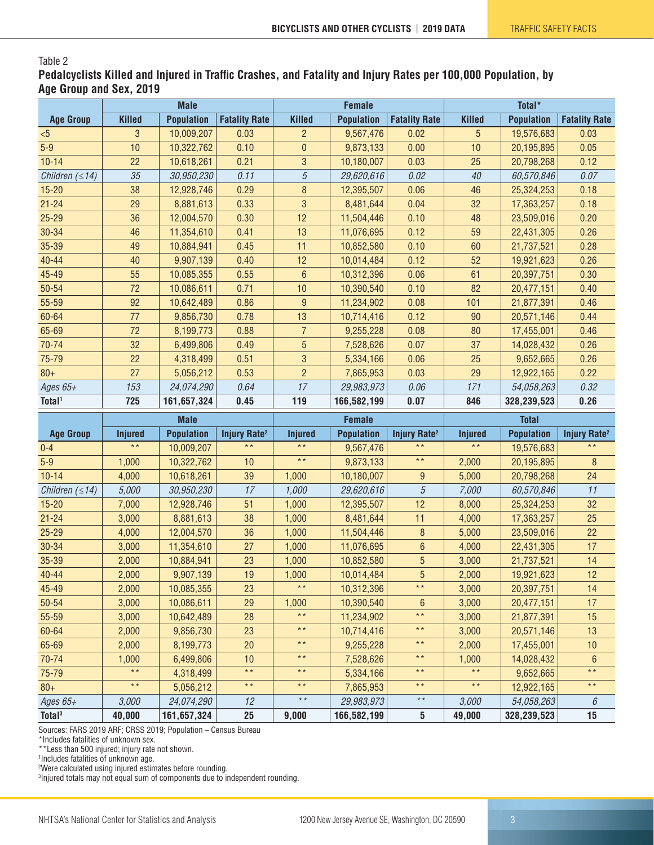#### Table 2

**Pedalcyclists Killed and Injured in Traffic Crashes, and Fatality and Injury Rates per 100,000 Population, by Age Group and Sex, 2019**

|                       | <b>Male</b>    |                   | <b>Female</b>                  |                 |                   | Total*                         |                 |                   |                                |
|-----------------------|----------------|-------------------|--------------------------------|-----------------|-------------------|--------------------------------|-----------------|-------------------|--------------------------------|
| <b>Age Group</b>      | <b>Killed</b>  | <b>Population</b> | <b>Fatality Rate</b>           | <b>Killed</b>   | <b>Population</b> | <b>Fatality Rate</b>           | <b>Killed</b>   | <b>Population</b> | <b>Fatality Rate</b>           |
| $5$                   | 3              | 10,009,207        | 0.03                           | $\overline{c}$  | 9,567,476         | 0.02                           | 5               | 19,576,683        | 0.03                           |
| $5-9$                 | 10             | 10,322,762        | 0.10                           | $\bf{0}$        | 9,873,133         | 0.00                           | 10              | 20,195,895        | 0.05                           |
| $10 - 14$             | 22             | 10,618,261        | 0.21                           | 3               | 10,180,007        | 0.03                           | 25              | 20,798,268        | 0.12                           |
| Children $( \leq 14)$ | 35             | 30,950,230        | 0.11                           | $\sqrt{5}$      | 29,620,616        | 0.02                           | 40              | 60,570,846        | 0.07                           |
| $15 - 20$             | 38             | 12,928,746        | 0.29                           | 8               | 12,395,507        | 0.06                           | 46              | 25,324,253        | 0.18                           |
| $21 - 24$             | 29             | 8,881,613         | 0.33                           | $\mathbf{3}$    | 8,481,644         | 0.04                           | 32              | 17,363,257        | 0.18                           |
| $25 - 29$             | 36             | 12,004,570        | 0.30                           | 12              | 11,504,446        | 0.10                           | 48              | 23,509,016        | 0.20                           |
| 30-34                 | 46             | 11,354,610        | 0.41                           | 13              | 11,076,695        | 0.12                           | 59              | 22,431,305        | 0.26                           |
| 35-39                 | 49             | 10,884,941        | 0.45                           | 11              | 10,852,580        | 0.10                           | 60              | 21,737,521        | 0.28                           |
| $40 - 44$             | 40             | 9,907,139         | 0.40                           | 12              | 10,014,484        | 0.12                           | 52              | 19,921,623        | 0.26                           |
| 45-49                 | 55             | 10,085,355        | 0.55                           | $6\phantom{1}$  | 10,312,396        | 0.06                           | 61              | 20,397,751        | 0.30                           |
| 50-54                 | 72             | 10,086,611        | 0.71                           | 10              | 10,390,540        | 0.10                           | 82              | 20,477,151        | 0.40                           |
| 55-59                 | 92             | 10,642,489        | 0.86                           | 9               | 11,234,902        | 0.08                           | 101             | 21,877,391        | 0.46                           |
| 60-64                 | 77             | 9,856,730         | 0.78                           | 13              | 10,714,416        | 0.12                           | 90              | 20,571,146        | 0.44                           |
| 65-69                 | 72             | 8,199,773         | 0.88                           | $\overline{7}$  | 9,255,228         | 0.08                           | 80              | 17,455,001        | 0.46                           |
| 70-74                 | 32             | 6,499,806         | 0.49                           | $\overline{5}$  | 7,528,626         | 0.07                           | 37              | 14,028,432        | 0.26                           |
| 75-79                 | 22             | 4,318,499         | 0.51                           | $\mathbf{3}$    | 5,334,166         | 0.06                           | 25              | 9,652,665         | 0.26                           |
| $80 +$                | 27             | 5,056,212         | 0.53                           | $\overline{2}$  | 7,865,953         | 0.03                           | 29              | 12,922,165        | 0.22                           |
| Ages 65+              | 153            | 24,074,290        | 0.64                           | 17              | 29,983,973        | 0.06                           | 171             | 54,058,263        | 0.32                           |
| Total <sup>1</sup>    | 725            | 161,657,324       | 0.45                           | 119             | 166,582,199       | 0.07                           | 846             | 328,239,523       | 0.26                           |
|                       |                |                   |                                |                 |                   |                                |                 |                   |                                |
|                       |                | <b>Male</b>       |                                |                 | <b>Female</b>     |                                |                 | <b>Total</b>      |                                |
| <b>Age Group</b>      | <b>Injured</b> | <b>Population</b> | <b>Injury Rate<sup>2</sup></b> | <b>Injured</b>  | <b>Population</b> | <b>Injury Rate<sup>2</sup></b> | <b>Injured</b>  | <b>Population</b> | <b>Injury Rate<sup>2</sup></b> |
| $0 - 4$               | $\star \star$  | 10,009,207        | $\star \star$                  | $\star \star$   | 9,567,476         | $\star \star$                  | $\star \star$   | 19,576,683        | $\star$ $\star$                |
| $5-9$                 | 1,000          | 10,322,762        | 10                             | $\star \star$   | 9,873,133         | $\star \star$                  | 2,000           | 20,195,895        | 8                              |
| $10 - 14$             | 4,000          | 10,618,261        | 39                             | 1,000           | 10,180,007        | $\boldsymbol{9}$               | 5,000           | 20,798,268        | 24                             |
| Children $( \leq 14)$ | 5,000          | 30,950,230        | 17                             | 1,000           | 29,620,616        | $\sqrt{5}$                     | 7,000           | 60,570,846        | 11                             |
| $15 - 20$             | 7,000          | 12,928,746        | 51                             | 1,000           | 12,395,507        | 12                             | 8,000           | 25,324,253        | 32                             |
| $21 - 24$             | 3,000          | 8,881,613         | 38                             | 1,000           | 8,481,644         | 11                             | 4,000           | 17,363,257        | 25                             |
| $25 - 29$             | 4,000          | 12,004,570        | 36                             | 1,000           | 11,504,446        | $\bf 8$                        | 5,000           | 23,509,016        | 22                             |
| 30-34                 | 3,000          | 11,354,610        | 27                             | 1,000           | 11,076,695        | $6\phantom{1}$                 | 4,000           | 22,431,305        | 17                             |
| 35-39                 | 2,000          | 10,884,941        | 23                             | 1,000           | 10,852,580        | $\overline{5}$                 | 3,000           | 21,737,521        | 14                             |
| 40-44                 | 2,000          | 9,907,139         | 19                             | 1,000           | 10,014,484        | $\overline{5}$                 | 2,000           | 19,921,623        | 12                             |
| 45-49                 | 2,000          | 10,085,355        | 23                             | $\star$ $\star$ | 10,312,396        | $\star \star$                  | 3,000           | 20,397,751        | 14                             |
| 50-54                 | 3,000          | 10,086,611        | 29                             | 1,000           | 10,390,540        | 6                              | 3,000           | 20,477,151        | 17                             |
| 55-59                 | 3,000          | 10,642,489        | 28                             | $\star\,\star$  | 11,234,902        | $\star \star$                  | 3,000           | 21,877,391        | 15                             |
| 60-64                 | 2,000          | 9,856,730         | 23                             | $\star$ $\star$ | 10,714,416        | $\star$ $\star$                | 3,000           | 20,571,146        | 13                             |
| 65-69                 | 2,000          | 8,199,773         | 20                             | $\star\star$    | 9,255,228         | $\star$ $\star$                | 2,000           | 17,455,001        | 10                             |
| 70-74                 | 1,000          | 6,499,806         | 10                             | $\star$ $\star$ | 7,528,626         | $\star$ $\star$                | 1,000           | 14,028,432        | $\boldsymbol{6}$               |
| 75-79                 | $\star \star$  | 4,318,499         | $\star$ $\star$                | $\star$ $\star$ | 5,334,166         | $\star$ $\star$                | $\star$ $\star$ | 9,652,665         | $\star$ $\star$                |
| $80 +$                | $\star \star$  | 5,056,212         | $\star$ $\star$                | $\star\,\star$  | 7,865,953         | $\star$ $\star$                | $\star \star$   | 12,922,165        | $\star$ $\star$                |
| Ages 65+              | 3,000          | 24,074,290        | 12                             | $\star$ $\star$ | 29,983,973        | $\star$ $\star$                | 3,000           | 54,058,263        | 6                              |

Sources: FARS 2019 ARF; CRSS 2019; Population – Census Bureau

\*Includes fatalities of unknown sex.

\*\*Less than 500 injured; injury rate not shown.

1 Includes fatalities of unknown age.

2 Were calculated using injured estimates before rounding.

3 Injured totals may not equal sum of components due to independent rounding.